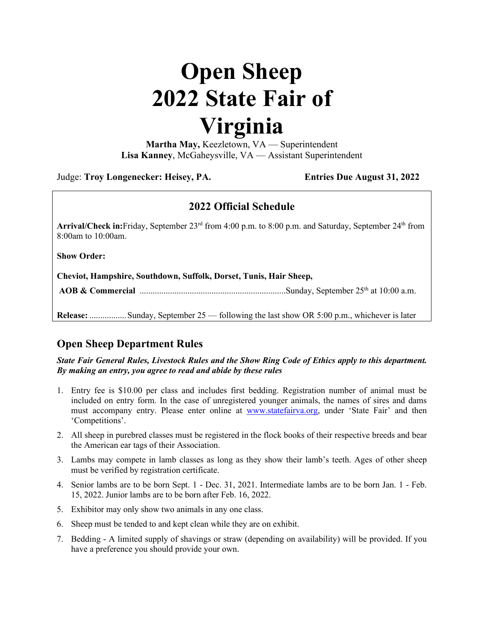# **Open Sheep 2022 State Fair of Virginia**

**Martha May,** Keezletown, VA — Superintendent **Lisa Kanney**, McGaheysville, VA — Assistant Superintendent

Judge: **Troy Longenecker: Heisey, PA. Entries Due August 31, 2022**

## **2022 Official Schedule**

**Arrival/Check in:**Friday, September 23rd from 4:00 p.m. to 8:00 p.m. and Saturday, September 24th from 8:00am to 10:00am.

**Show Order:**

**Cheviot, Hampshire, Southdown, Suffolk, Dorset, Tunis, Hair Sheep,** 

**AOB & Commercial** ...................................................................Sunday, September 25th at 10:00 a.m.

**Release:** .................Sunday, September 25 — following the last show OR 5:00 p.m., whichever is later

# **Open Sheep Department Rules**

*State Fair General Rules, Livestock Rules and the Show Ring Code of Ethics apply to this department. By making an entry, you agree to read and abide by these rules*

- 1. Entry fee is \$10.00 per class and includes first bedding. Registration number of animal must be included on entry form. In the case of unregistered younger animals, the names of sires and dams must accompany entry. Please enter online at [www.statefairva.org,](http://www.statefairva.org/) under 'State Fair' and then 'Competitions'.
- 2. All sheep in purebred classes must be registered in the flock books of their respective breeds and bear the American ear tags of their Association.
- 3. Lambs may compete in lamb classes as long as they show their lamb's teeth. Ages of other sheep must be verified by registration certificate.
- 4. Senior lambs are to be born Sept. 1 Dec. 31, 2021. Intermediate lambs are to be born Jan. 1 Feb. 15, 2022. Junior lambs are to be born after Feb. 16, 2022.
- 5. Exhibitor may only show two animals in any one class.
- 6. Sheep must be tended to and kept clean while they are on exhibit.
- 7. Bedding A limited supply of shavings or straw (depending on availability) will be provided. If you have a preference you should provide your own.